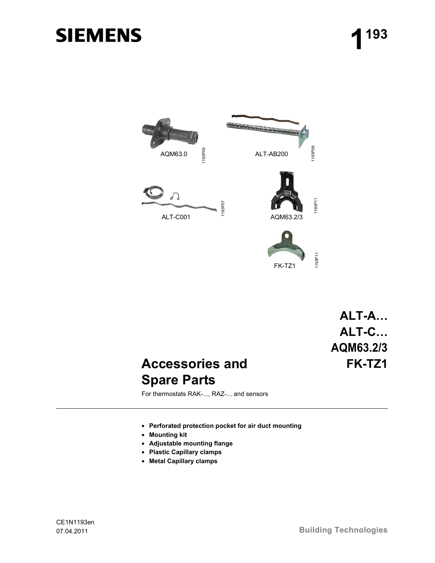# **SIEMENS**



FK-TZ1

## **ALT-A… ALT-C… AQM63.2/3 FK-TZ1**

### **Accessories and Spare Parts**

For thermostats RAK-..., RAZ-... and sensors

- **Perforated protection pocket for air duct mounting**
- **Mounting kit**
- **Adjustable mounting flange**
- **Plastic Capillary clamps**
-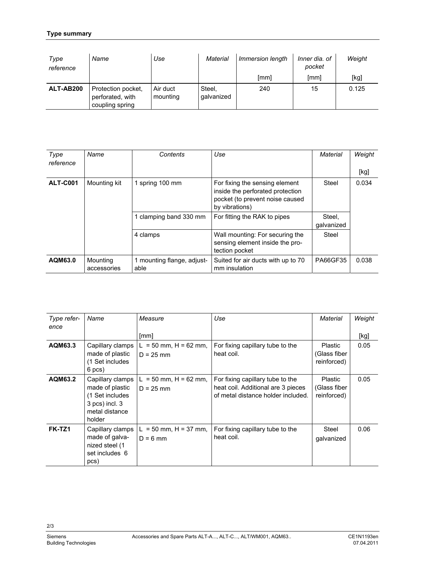#### **Type summary**

| Type<br>reference | Name                                                      | Use                  | Material             | Immersion length | Inner dia. of<br>pocket | Weight |
|-------------------|-----------------------------------------------------------|----------------------|----------------------|------------------|-------------------------|--------|
|                   |                                                           |                      |                      | [mm]             | [mm]                    | [kg]   |
| ALT-AB200         | Protection pocket,<br>perforated, with<br>coupling spring | Air duct<br>mounting | Steel,<br>qalvanized | 240              | 15                      | 0.125  |

| Type<br>reference | Name                    | Contents                           | Use                                                                                                                     | Material             | Weight<br>[kg] |
|-------------------|-------------------------|------------------------------------|-------------------------------------------------------------------------------------------------------------------------|----------------------|----------------|
| <b>ALT-C001</b>   | Mounting kit            | 1 spring 100 mm                    | For fixing the sensing element<br>inside the perforated protection<br>pocket (to prevent noise caused<br>by vibrations) | Steel                | 0.034          |
|                   |                         | 1 clamping band 330 mm             | For fitting the RAK to pipes                                                                                            | Steel.<br>qalvanized |                |
|                   |                         | 4 clamps                           | Wall mounting: For securing the<br>sensing element inside the pro-<br>tection pocket                                    | Steel                |                |
| AQM63.0           | Mounting<br>accessories | 1 mounting flange, adjust-<br>able | Suited for air ducts with up to 70<br>mm insulation                                                                     | PA66GF35             | 0.038          |

| Type refer-<br>ence | Name                                                                                                 | Measure                                    | Use                                                                                                          | Material                                      | Weight |
|---------------------|------------------------------------------------------------------------------------------------------|--------------------------------------------|--------------------------------------------------------------------------------------------------------------|-----------------------------------------------|--------|
|                     |                                                                                                      | [mm]                                       |                                                                                                              |                                               | [kg]   |
| AQM63.3             | Capillary clamps<br>made of plastic<br>(1 Set includes<br>6 pcs)                                     | $= 50$ mm, H = 62 mm,<br>L.<br>$D = 25$ mm | For fixing capillary tube to the<br>heat coil.                                                               | <b>Plastic</b><br>(Glass fiber<br>reinforced) | 0.05   |
| AQM63.2             | Capillary clamps<br>made of plastic<br>(1 Set includes<br>3 pcs) incl. 3<br>metal distance<br>holder | $= 50$ mm, H = 62 mm,<br>L.<br>$D = 25$ mm | For fixing capillary tube to the<br>heat coil. Additional are 3 pieces<br>of metal distance holder included. | <b>Plastic</b><br>(Glass fiber<br>reinforced) | 0.05   |
| FK-TZ1              | Capillary clamps<br>made of galva-<br>nized steel (1<br>set includes 6<br>pcs)                       | $L = 50$ mm, H = 37 mm,<br>$D = 6$ mm      | For fixing capillary tube to the<br>heat coil.                                                               | Steel<br>galvanized                           | 0.06   |

2/3